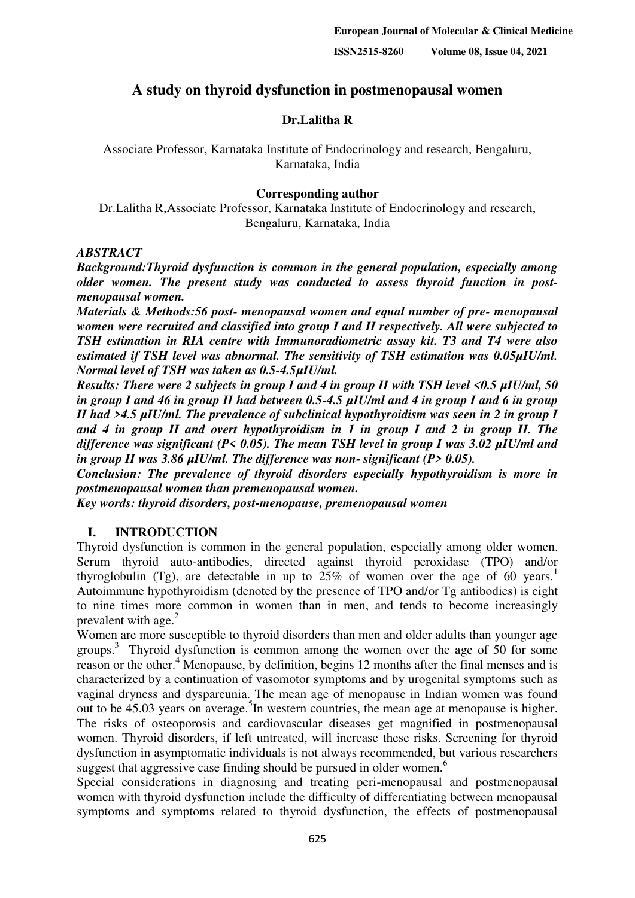# **A study on thyroid dysfunction in postmenopausal women**

## **Dr.Lalitha R**

Associate Professor, Karnataka Institute of Endocrinology and research, Bengaluru, Karnataka, India

## **Corresponding author**

Dr.Lalitha R,Associate Professor, Karnataka Institute of Endocrinology and research, Bengaluru, Karnataka, India

#### *ABSTRACT*

*Background:Thyroid dysfunction is common in the general population, especially among older women. The present study was conducted to assess thyroid function in postmenopausal women.*

*Materials & Methods:56 post- menopausal women and equal number of pre- menopausal women were recruited and classified into group I and II respectively. All were subjected to TSH estimation in RIA centre with Immunoradiometric assay kit. T3 and T4 were also estimated if TSH level was abnormal. The sensitivity of TSH estimation was 0.05µIU/ml. Normal level of TSH was taken as 0.5-4.5µIU/ml.* 

*Results: There were 2 subjects in group I and 4 in group II with TSH level <0.5 µIU/ml, 50 in group I and 46 in group II had between 0.5-4.5 µIU/ml and 4 in group I and 6 in group II had >4.5 µIU/ml. The prevalence of subclinical hypothyroidism was seen in 2 in group I and 4 in group II and overt hypothyroidism in 1 in group I and 2 in group II. The difference was significant (P< 0.05). The mean TSH level in group I was 3.02 µIU/ml and in group II was 3.86 µIU/ml. The difference was non- significant (P> 0.05).*

*Conclusion: The prevalence of thyroid disorders especially hypothyroidism is more in postmenopausal women than premenopausal women.* 

*Key words: thyroid disorders, post-menopause, premenopausal women*

## **I. INTRODUCTION**

Thyroid dysfunction is common in the general population, especially among older women. Serum thyroid auto-antibodies, directed against thyroid peroxidase (TPO) and/or thyroglobulin (Tg), are detectable in up to  $25\%$  of women over the age of 60 years.<sup>1</sup> Autoimmune hypothyroidism (denoted by the presence of TPO and/or Tg antibodies) is eight to nine times more common in women than in men, and tends to become increasingly prevalent with age. $^{2}$ 

Women are more susceptible to thyroid disorders than men and older adults than younger age groups. 3 Thyroid dysfunction is common among the women over the age of 50 for some reason or the other.<sup>4</sup> Menopause, by definition, begins 12 months after the final menses and is characterized by a continuation of vasomotor symptoms and by urogenital symptoms such as vaginal dryness and dyspareunia. The mean age of menopause in Indian women was found out to be  $45.03$  years on average.<sup>5</sup>In western countries, the mean age at menopause is higher. The risks of osteoporosis and cardiovascular diseases get magnified in postmenopausal women. Thyroid disorders, if left untreated, will increase these risks. Screening for thyroid dysfunction in asymptomatic individuals is not always recommended, but various researchers suggest that aggressive case finding should be pursued in older women.<sup>6</sup>

Special considerations in diagnosing and treating peri-menopausal and postmenopausal women with thyroid dysfunction include the difficulty of differentiating between menopausal symptoms and symptoms related to thyroid dysfunction, the effects of postmenopausal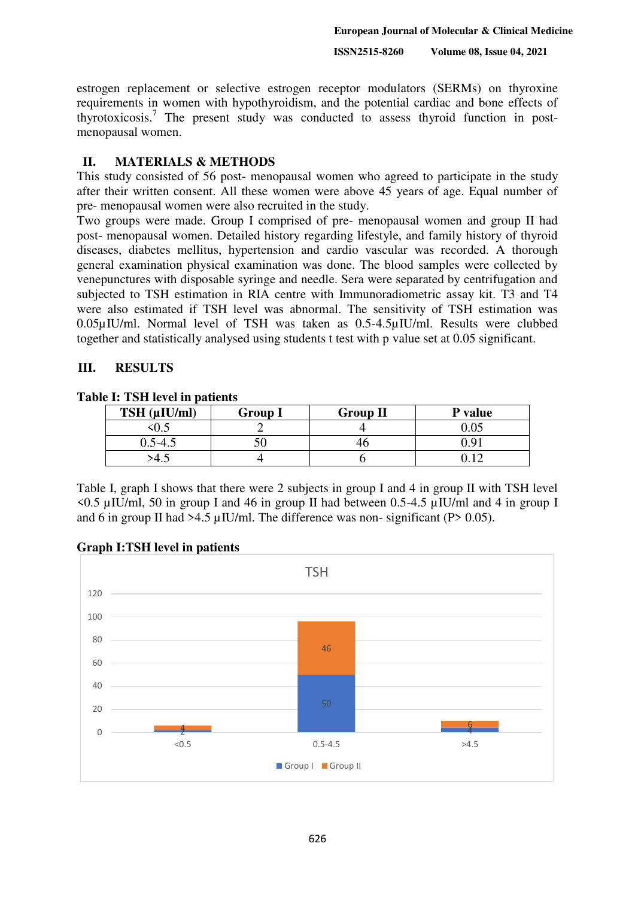estrogen replacement or selective estrogen receptor modulators (SERMs) on thyroxine requirements in women with hypothyroidism, and the potential cardiac and bone effects of thyrotoxicosis.<sup>7</sup> The present study was conducted to assess thyroid function in postmenopausal women.

#### **II. MATERIALS & METHODS**

This study consisted of 56 post- menopausal women who agreed to participate in the study after their written consent. All these women were above 45 years of age. Equal number of pre- menopausal women were also recruited in the study.

Two groups were made. Group I comprised of pre- menopausal women and group II had post- menopausal women. Detailed history regarding lifestyle, and family history of thyroid diseases, diabetes mellitus, hypertension and cardio vascular was recorded. A thorough general examination physical examination was done. The blood samples were collected by venepunctures with disposable syringe and needle. Sera were separated by centrifugation and subjected to TSH estimation in RIA centre with Immunoradiometric assay kit. T3 and T4 were also estimated if TSH level was abnormal. The sensitivity of TSH estimation was 0.05µIU/ml. Normal level of TSH was taken as 0.5-4.5µIU/ml. Results were clubbed together and statistically analysed using students t test with p value set at 0.05 significant.

#### **III. RESULTS**

**Table I: TSH level in patients** 

| TSH (µIU/ml) | <b>Group 1</b> | <b>Group II</b> | P value |
|--------------|----------------|-----------------|---------|
| U.J          |                |                 |         |
| $0.3 - 4.5$  |                |                 | n Qʻ    |
|              |                |                 |         |

Table I, graph I shows that there were 2 subjects in group I and 4 in group II with TSH level <0.5 µIU/ml, 50 in group I and 46 in group II had between 0.5-4.5 µIU/ml and 4 in group I and 6 in group II had  $>4.5 \mu$ IU/ml. The difference was non-significant (P $> 0.05$ ).



#### **Graph I:TSH level in patients**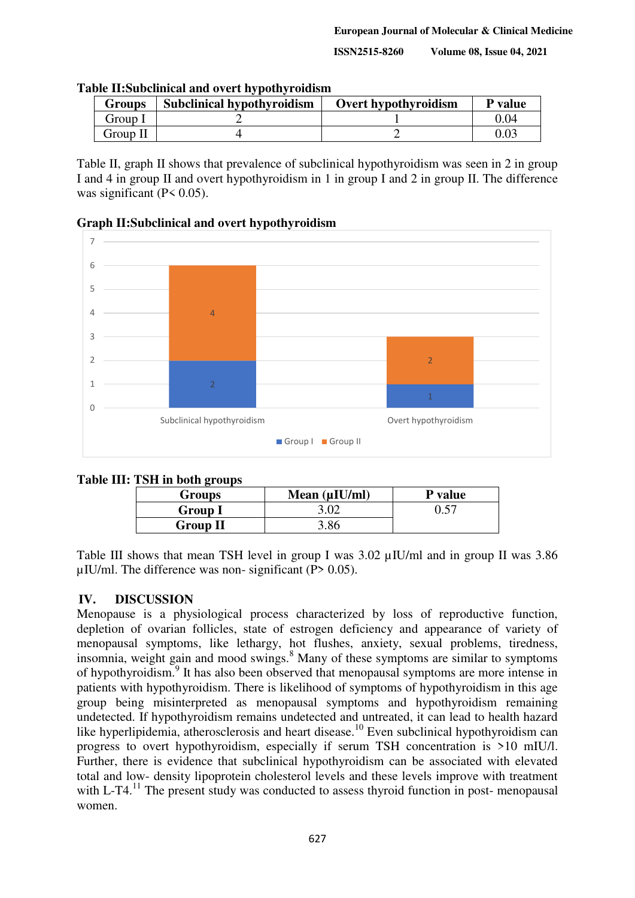**ISSN2515-8260 Volume 08, Issue 04, 2021** 

| <b>Groups</b> | <b>Subclinical hypothyroidism</b> | Overt hypothyroidism | P value |
|---------------|-----------------------------------|----------------------|---------|
| Group I       |                                   |                      | 0.04    |
| Group II      |                                   |                      |         |

#### **Table II:Subclinical and overt hypothyroidism**

Table II, graph II shows that prevalence of subclinical hypothyroidism was seen in 2 in group I and 4 in group II and overt hypothyroidism in 1 in group I and 2 in group II. The difference was significant  $(P< 0.05)$ .

#### **Graph II:Subclinical and overt hypothyroidism**



#### **Table III: TSH in both groups**

| $1.511$ m both $\epsilon$ 194 $\mu$ <sub>2</sub><br><b>Groups</b> | Mean $(\mu I U/ml)$ | <b>P</b> value |
|-------------------------------------------------------------------|---------------------|----------------|
| <b>Group I</b>                                                    | 3.02                | 0.57           |
| <b>Group II</b>                                                   | 3.86                |                |

Table III shows that mean TSH level in group I was 3.02 uIU/ml and in group II was 3.86  $\mu$ IU/ml. The difference was non- significant (P $> 0.05$ ).

## **IV. DISCUSSION**

Menopause is a physiological process characterized by loss of reproductive function, depletion of ovarian follicles, state of estrogen deficiency and appearance of variety of menopausal symptoms, like lethargy, hot flushes, anxiety, sexual problems, tiredness, insomnia, weight gain and mood swings.<sup>8</sup> Many of these symptoms are similar to symptoms of hypothyroidism.<sup>9</sup> It has also been observed that menopausal symptoms are more intense in patients with hypothyroidism. There is likelihood of symptoms of hypothyroidism in this age group being misinterpreted as menopausal symptoms and hypothyroidism remaining undetected. If hypothyroidism remains undetected and untreated, it can lead to health hazard like hyperlipidemia, atherosclerosis and heart disease.<sup>10</sup> Even subclinical hypothyroidism can progress to overt hypothyroidism, especially if serum TSH concentration is >10 mIU/l. Further, there is evidence that subclinical hypothyroidism can be associated with elevated total and low- density lipoprotein cholesterol levels and these levels improve with treatment with L-T4.<sup>11</sup> The present study was conducted to assess thyroid function in post- menopausal women.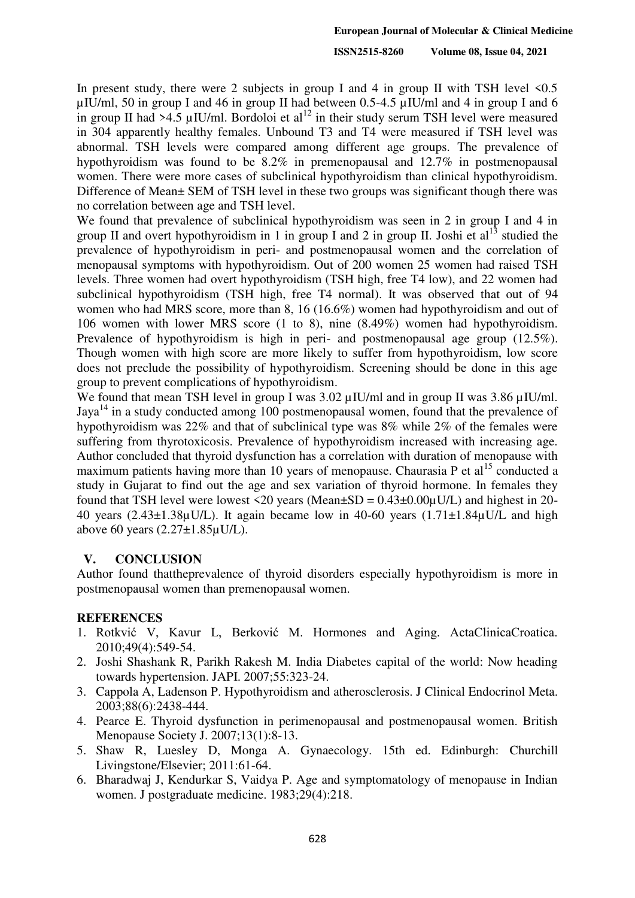In present study, there were 2 subjects in group I and 4 in group II with TSH level  $\leq 0.5$  $\mu$ IU/ml, 50 in group I and 46 in group II had between 0.5-4.5  $\mu$ IU/ml and 4 in group I and 6 in group II had >4.5  $\mu$ IU/ml. Bordoloi et al<sup>12</sup> in their study serum TSH level were measured in 304 apparently healthy females. Unbound T3 and T4 were measured if TSH level was abnormal. TSH levels were compared among different age groups. The prevalence of hypothyroidism was found to be 8.2% in premenopausal and 12.7% in postmenopausal women. There were more cases of subclinical hypothyroidism than clinical hypothyroidism. Difference of Mean± SEM of TSH level in these two groups was significant though there was no correlation between age and TSH level.

We found that prevalence of subclinical hypothyroidism was seen in 2 in group I and 4 in group II and overt hypothyroidism in 1 in group I and 2 in group II. Joshi et al<sup>13</sup> studied the prevalence of hypothyroidism in peri- and postmenopausal women and the correlation of menopausal symptoms with hypothyroidism. Out of 200 women 25 women had raised TSH levels. Three women had overt hypothyroidism (TSH high, free T4 low), and 22 women had subclinical hypothyroidism (TSH high, free T4 normal). It was observed that out of 94 women who had MRS score, more than 8, 16 (16.6%) women had hypothyroidism and out of 106 women with lower MRS score (1 to 8), nine (8.49%) women had hypothyroidism. Prevalence of hypothyroidism is high in peri- and postmenopausal age group (12.5%). Though women with high score are more likely to suffer from hypothyroidism, low score does not preclude the possibility of hypothyroidism. Screening should be done in this age group to prevent complications of hypothyroidism.

We found that mean TSH level in group I was 3.02  $\mu$ IU/ml and in group II was 3.86  $\mu$ IU/ml. Jaya<sup>14</sup> in a study conducted among 100 postmenopausal women, found that the prevalence of hypothyroidism was 22% and that of subclinical type was 8% while 2% of the females were suffering from thyrotoxicosis. Prevalence of hypothyroidism increased with increasing age. Author concluded that thyroid dysfunction has a correlation with duration of menopause with maximum patients having more than 10 years of menopause. Chaurasia P et al<sup>15</sup> conducted a study in Gujarat to find out the age and sex variation of thyroid hormone. In females they found that TSH level were lowest <20 years (Mean $\pm$ SD = 0.43 $\pm$ 0.00 $\mu$ U/L) and highest in 20-40 years ( $2.43\pm1.38\mu$ U/L). It again became low in 40-60 years ( $1.71\pm1.84\mu$ U/L and high above 60 years (2.27±1.85µU/L).

#### **V. CONCLUSION**

Author found thattheprevalence of thyroid disorders especially hypothyroidism is more in postmenopausal women than premenopausal women.

#### **REFERENCES**

- 1. Rotkvić V, Kavur L, Berković M. Hormones and Aging. ActaClinicaCroatica. 2010;49(4):549-54.
- 2. Joshi Shashank R, Parikh Rakesh M. India Diabetes capital of the world: Now heading towards hypertension. JAPI. 2007;55:323-24.
- 3. Cappola A, Ladenson P. Hypothyroidism and atherosclerosis. J Clinical Endocrinol Meta. 2003;88(6):2438-444.
- 4. Pearce E. Thyroid dysfunction in perimenopausal and postmenopausal women. British Menopause Society J. 2007;13(1):8-13.
- 5. Shaw R, Luesley D, Monga A. Gynaecology. 15th ed. Edinburgh: Churchill Livingstone/Elsevier; 2011:61-64.
- 6. Bharadwaj J, Kendurkar S, Vaidya P. Age and symptomatology of menopause in Indian women. J postgraduate medicine. 1983;29(4):218.